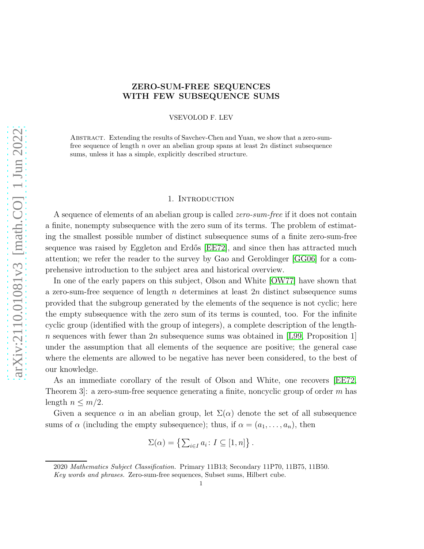# ZERO-SUM-FREE SEQUENCES WITH FEW SUBSEQUENCE SUMS

VSEVOLOD F. LEV

Abstract. Extending the results of Savchev-Chen and Yuan, we show that a zero-sumfree sequence of length n over an abelian group spans at least  $2n$  distinct subsequence sums, unless it has a simple, explicitly described structure.

### 1. INTRODUCTION

<span id="page-0-0"></span>A sequence of elements of an abelian group is called *zero-sum-free* if it does not contain a finite, nonempty subsequence with the zero sum of its terms. The problem of estimating the smallest possible number of distinct subsequence sums of a finite zero-sum-free sequence was raised by Eggleton and Erdős [\[EE72\]](#page-7-0), and since then has attracted much attention; we refer the reader to the survey by Gao and Geroldinger [\[GG06\]](#page-7-1) for a comprehensive introduction to the subject area and historical overview.

In one of the early papers on this subject, Olson and White [\[OW77\]](#page-7-2) have shown that a zero-sum-free sequence of length n determines at least  $2n$  distinct subsequence sums provided that the subgroup generated by the elements of the sequence is not cyclic; here the empty subsequence with the zero sum of its terms is counted, too. For the infinite cyclic group (identified with the group of integers), a complete description of the lengthn sequences with fewer than  $2n$  subsequence sums was obtained in [\[L99,](#page-7-3) Proposition 1] under the assumption that all elements of the sequence are positive; the general case where the elements are allowed to be negative has never been considered, to the best of our knowledge.

As an immediate corollary of the result of Olson and White, one recovers [\[EE72,](#page-7-0) Theorem 3. a zero-sum-free sequence generating a finite, noncyclic group of order m has length  $n \leq m/2$ .

Given a sequence  $\alpha$  in an abelian group, let  $\Sigma(\alpha)$  denote the set of all subsequence sums of  $\alpha$  (including the empty subsequence); thus, if  $\alpha = (a_1, \ldots, a_n)$ , then

$$
\Sigma(\alpha) = \left\{ \sum_{i \in I} a_i : I \subseteq [1, n] \right\}.
$$

<sup>2020</sup> Mathematics Subject Classification. Primary 11B13; Secondary 11P70, 11B75, 11B50.

Key words and phrases. Zero-sum-free sequences, Subset sums, Hilbert cube.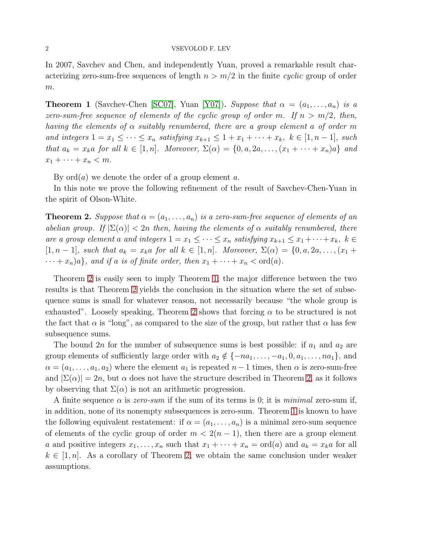In 2007, Savchev and Chen, and independently Yuan, proved a remarkable result characterizing zero-sum-free sequences of length  $n > m/2$  in the finite *cyclic* group of order  $m$ .

<span id="page-1-1"></span>**Theorem 1** (Savchev-Chen [\[SC07\]](#page-7-4), Yuan [\[Y07\]](#page-7-5)). *Suppose that*  $\alpha = (a_1, \ldots, a_n)$  *is a zero-sum-free sequence of elements of the cyclic group of order* m. If  $n > m/2$ , then, *having the elements of* α *suitably renumbered, there are a group element* a *of order* m *and integers*  $1 = x_1 \leq \cdots \leq x_n$  *satisfying*  $x_{k+1} \leq 1 + x_1 + \cdots + x_k$ ,  $k \in [1, n-1]$ *, such that*  $a_k = x_k a$  *for all*  $k \in [1, n]$ *. Moreover,*  $\Sigma(\alpha) = \{0, a, 2a, \ldots, (x_1 + \cdots + x_n)a\}$  *and*  $x_1 + \cdots + x_n < m$ .

By  $\text{ord}(a)$  we denote the order of a group element a.

In this note we prove the following refinement of the result of Savchev-Chen-Yuan in the spirit of Olson-White.

<span id="page-1-0"></span>**Theorem 2.** *Suppose that*  $\alpha = (a_1, \ldots, a_n)$  *is a zero-sum-free sequence of elements of an abelian group.* If  $|\Sigma(\alpha)| < 2n$  *then, having the elements of*  $\alpha$  *suitably renumbered, there are a group element a and integers*  $1 = x_1 \leq \cdots \leq x_n$  *satisfying*  $x_{k+1} \leq x_1 + \cdots + x_k$ ,  $k \in$ [1, n − 1]*, such that*  $a_k = x_k a$  *for all*  $k \in [1, n]$ *. Moreover,*  $\Sigma(\alpha) = \{0, a, 2a, ..., (x_1 +$  $\cdots + x_n)a$ *, and if a is of finite order, then*  $x_1 + \cdots + x_n < \text{ord}(a)$ *.* 

Theorem [2](#page-1-0) is easily seen to imply Theorem [1;](#page-1-1) the major difference between the two results is that Theorem [2](#page-1-0) yields the conclusion in the situation where the set of subsequence sums is small for whatever reason, not necessarily because "the whole group is exhausted". Loosely speaking, Theorem [2](#page-1-0) shows that forcing  $\alpha$  to be structured is not the fact that  $\alpha$  is "long", as compared to the size of the group, but rather that  $\alpha$  has few subsequence sums.

The bound 2n for the number of subsequence sums is best possible: if  $a_1$  and  $a_2$  are group elements of sufficiently large order with  $a_2 \notin \{-na_1, \ldots, -a_1, 0, a_1, \ldots, na_1\}$ , and  $\alpha = (a_1, \ldots, a_1, a_2)$  where the element  $a_1$  is repeated  $n-1$  times, then  $\alpha$  is zero-sum-free and  $|\Sigma(\alpha)| = 2n$ , but  $\alpha$  does not have the structure described in Theorem [2,](#page-1-0) as it follows by observing that  $\Sigma(\alpha)$  is not an arithmetic progression.

A finite sequence  $\alpha$  is *zero-sum* if the sum of its terms is 0; it is *minimal* zero-sum if, in addition, none of its nonempty subsequences is zero-sum. Theorem [1](#page-1-1) is known to have the following equivalent restatement: if  $\alpha = (a_1, \ldots, a_n)$  is a minimal zero-sum sequence of elements of the cyclic group of order  $m < 2(n-1)$ , then there are a group element a and positive integers  $x_1, \ldots, x_n$  such that  $x_1 + \cdots + x_n = \text{ord}(a)$  and  $a_k = x_k a$  for all  $k \in [1, n]$ . As a corollary of Theorem [2,](#page-1-0) we obtain the same conclusion under weaker assumptions.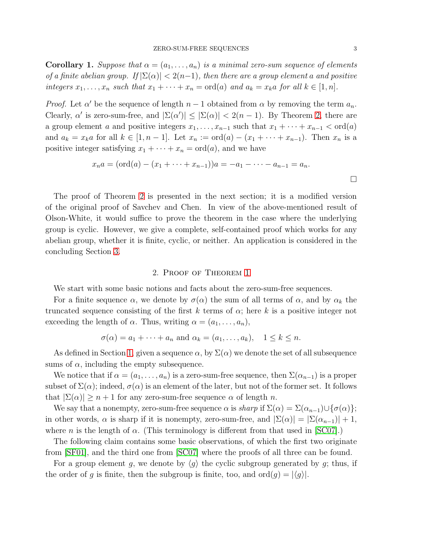**Corollary 1.** *Suppose that*  $\alpha = (a_1, \ldots, a_n)$  *is a minimal zero-sum sequence of elements of a finite abelian group.* If  $|\Sigma(\alpha)| < 2(n-1)$ , then there are a group element a and positive *integers*  $x_1, \ldots, x_n$  *such that*  $x_1 + \cdots + x_n = \text{ord}(a)$  *and*  $a_k = x_k a$  *for all*  $k \in [1, n]$ *.* 

*Proof.* Let  $\alpha'$  be the sequence of length  $n-1$  obtained from  $\alpha$  by removing the term  $a_n$ . Clearly,  $\alpha'$  is zero-sum-free, and  $|\Sigma(\alpha')| \leq |\Sigma(\alpha)| < 2(n-1)$ . By Theorem [2,](#page-1-0) there are a group element a and positive integers  $x_1, \ldots, x_{n-1}$  such that  $x_1 + \cdots + x_{n-1} < \text{ord}(a)$ and  $a_k = x_k a$  for all  $k \in [1, n-1]$ . Let  $x_n := \text{ord}(a) - (x_1 + \cdots + x_{n-1})$ . Then  $x_n$  is a positive integer satisfying  $x_1 + \cdots + x_n = \text{ord}(a)$ , and we have

$$
x_n a = (\text{ord}(a) - (x_1 + \dots + x_{n-1}))a = -a_1 - \dots - a_{n-1} = a_n.
$$

The proof of Theorem [2](#page-1-0) is presented in the next section; it is a modified version of the original proof of Savchev and Chen. In view of the above-mentioned result of Olson-White, it would suffice to prove the theorem in the case where the underlying group is cyclic. However, we give a complete, self-contained proof which works for any abelian group, whether it is finite, cyclic, or neither. An application is considered in the concluding Section [3.](#page-5-0)

### 2. Proof of Theorem [1](#page-1-1)

We start with some basic notions and facts about the zero-sum-free sequences.

For a finite sequence  $\alpha$ , we denote by  $\sigma(\alpha)$  the sum of all terms of  $\alpha$ , and by  $\alpha_k$  the truncated sequence consisting of the first k terms of  $\alpha$ ; here k is a positive integer not exceeding the length of  $\alpha$ . Thus, writing  $\alpha = (a_1, \ldots, a_n)$ ,

$$
\sigma(\alpha) = a_1 + \cdots + a_n
$$
 and  $\alpha_k = (a_1, \ldots, a_k), \quad 1 \le k \le n.$ 

As defined in Section [1,](#page-0-0) given a sequence  $\alpha$ , by  $\Sigma(\alpha)$  we denote the set of all subsequence sums of  $\alpha$ , including the empty subsequence.

We notice that if  $\alpha = (a_1, \ldots, a_n)$  is a zero-sum-free sequence, then  $\Sigma(\alpha_{n-1})$  is a proper subset of  $\Sigma(\alpha)$ ; indeed,  $\sigma(\alpha)$  is an element of the later, but not of the former set. It follows that  $|\Sigma(\alpha)| \geq n+1$  for any zero-sum-free sequence  $\alpha$  of length n.

We say that a nonempty, zero-sum-free sequence  $\alpha$  is *sharp* if  $\Sigma(\alpha) = \Sigma(\alpha_{n-1}) \cup \{\sigma(\alpha)\};$ in other words,  $\alpha$  is sharp if it is nonempty, zero-sum-free, and  $|\Sigma(\alpha)| = |\Sigma(\alpha_{n-1})| + 1$ , where *n* is the length of  $\alpha$ . (This terminology is different from that used in [\[SC07\]](#page-7-4).)

The following claim contains some basic observations, of which the first two originate from [\[SF01\]](#page-7-6), and the third one from [\[SC07\]](#page-7-4) where the proofs of all three can be found.

For a group element g, we denote by  $\langle g \rangle$  the cyclic subgroup generated by g; thus, if the order of g is finite, then the subgroup is finite, too, and  $\text{ord}(g) = |\langle g \rangle|$ .

 $\Box$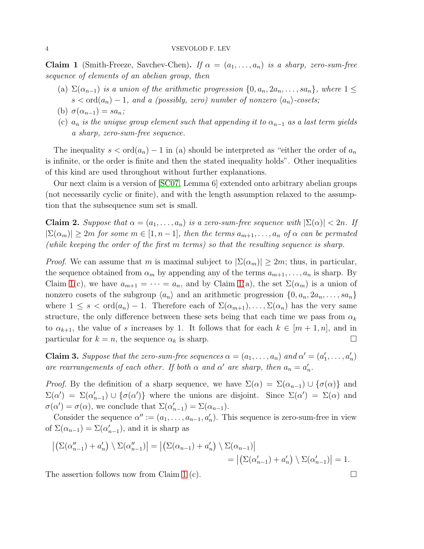<span id="page-3-0"></span>**Claim 1** (Smith-Freeze, Savchev-Chen). *If*  $\alpha = (a_1, \ldots, a_n)$  *is a sharp, zero-sum-free sequence of elements of an abelian group, then*

- (a)  $\Sigma(\alpha_{n-1})$  *is a union of the arithmetic progression*  $\{0, a_n, 2a_n, \ldots, sa_n\}$ *, where*  $1 \leq$  $s < \text{ord}(a_n) - 1$ , and a (possibly, zero) number of nonzero  $\langle a_n \rangle$ -cosets;
- (b)  $\sigma(\alpha_{n-1}) = s a_n;$
- (c)  $a_n$  *is the unique group element such that appending it to*  $\alpha_{n-1}$  *as a last term yields a sharp, zero-sum-free sequence.*

The inequality  $s < \text{ord}(a_n) - 1$  in (a) should be interpreted as "either the order of  $a_n$ is infinite, or the order is finite and then the stated inequality holds". Other inequalities of this kind are used throughout without further explanations.

Our next claim is a version of [\[SC07,](#page-7-4) Lemma 6] extended onto arbitrary abelian groups (not necessarily cyclic or finite), and with the length assumption relaxed to the assumption that the subsequence sum set is small.

<span id="page-3-1"></span>**Claim 2.** *Suppose that*  $\alpha = (a_1, \ldots, a_n)$  *is a zero-sum-free sequence with*  $|\Sigma(\alpha)| < 2n$ . If  $|\Sigma(\alpha_m)| \geq 2m$  *for some*  $m \in [1, n-1]$ *, then the terms*  $a_{m+1}, \ldots, a_n$  *of*  $\alpha$  *can be permuted (while keeping the order of the first* m *terms) so that the resulting sequence is sharp.*

*Proof.* We can assume that m is maximal subject to  $|\Sigma(\alpha_m)| \geq 2m$ ; thus, in particular, the sequence obtained from  $\alpha_m$  by appending any of the terms  $a_{m+1}, \ldots, a_n$  is sharp. By Claim [1\(](#page-3-0)c), we have  $a_{m+1} = \cdots = a_n$ , and by Claim 1(a), the set  $\Sigma(\alpha_m)$  is a union of nonzero cosets of the subgroup  $\langle a_n \rangle$  and an arithmetic progression  $\{0, a_n, 2a_n, \ldots, sa_n\}$ where  $1 \leq s < \text{ord}(a_n) - 1$ . Therefore each of  $\Sigma(\alpha_{m+1}), \ldots, \Sigma(\alpha_n)$  has the very same structure, the only difference between these sets being that each time we pass from  $\alpha_k$ to  $\alpha_{k+1}$ , the value of s increases by 1. It follows that for each  $k \in [m+1,n]$ , and in particular for  $k = n$ , the sequence  $\alpha_k$  is sharp.

<span id="page-3-2"></span>**Claim 3.** Suppose that the zero-sum-free sequences  $\alpha = (a_1, \ldots, a_n)$  and  $\alpha' = (a'_1, \ldots, a'_n)$ *are rearrangements of each other. If both*  $\alpha$  *and*  $\alpha'$  *are sharp, then*  $a_n = a'_n$ .

*Proof.* By the definition of a sharp sequence, we have  $\Sigma(\alpha) = \Sigma(\alpha_{n-1}) \cup \{\sigma(\alpha)\}\$  and  $\Sigma(\alpha') = \Sigma(\alpha'_{n-1}) \cup \{\sigma(\alpha')\}$  where the unions are disjoint. Since  $\Sigma(\alpha') = \Sigma(\alpha)$  and  $\sigma(\alpha') = \sigma(\alpha)$ , we conclude that  $\Sigma(\alpha'_{n-1}) = \Sigma(\alpha_{n-1})$ .

Consider the sequence  $\alpha'':=(a_1,\ldots,a_{n-1},a'_n)$ . This sequence is zero-sum-free in view of  $\Sigma(\alpha_{n-1}) = \Sigma(\alpha'_{n-1})$ , and it is sharp as

$$
\left| \left( \Sigma(\alpha_{n-1}^{\prime\prime}) + a_n^{\prime} \right) \setminus \Sigma(\alpha_{n-1}^{\prime\prime}) \right| = \left| \left( \Sigma(\alpha_{n-1}) + a_n^{\prime} \right) \setminus \Sigma(\alpha_{n-1}) \right|
$$
  
= 
$$
\left| \left( \Sigma(\alpha_{n-1}^{\prime}) + a_n^{\prime} \right) \setminus \Sigma(\alpha_{n-1}^{\prime}) \right| = 1.
$$

The assertion follows now from Claim [1](#page-3-0) (c).  $\Box$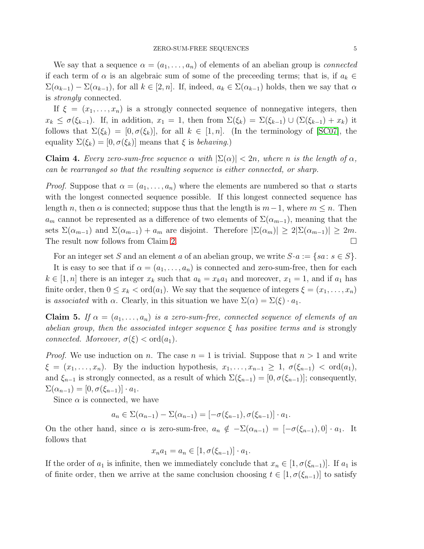We say that a sequence  $\alpha = (a_1, \ldots, a_n)$  of elements of an abelian group is *connected* if each term of  $\alpha$  is an algebraic sum of some of the preceeding terms; that is, if  $a_k \in$  $\Sigma(\alpha_{k-1}) - \Sigma(\alpha_{k-1}),$  for all  $k \in [2, n]$ . If, indeed,  $a_k \in \Sigma(\alpha_{k-1})$  holds, then we say that  $\alpha$ is *strongly* connected.

If  $\xi = (x_1, \ldots, x_n)$  is a strongly connected sequence of nonnegative integers, then  $x_k \leq \sigma(\xi_{k-1})$ . If, in addition,  $x_1 = 1$ , then from  $\Sigma(\xi_k) = \Sigma(\xi_{k-1}) \cup (\Sigma(\xi_{k-1}) + x_k)$  it follows that  $\Sigma(\xi_k) = [0, \sigma(\xi_k)]$ , for all  $k \in [1, n]$ . (In the terminology of [\[SC07\]](#page-7-4), the equality  $\Sigma(\xi_k) = [0, \sigma(\xi_k)]$  means that  $\xi$  is *behaving*.)

<span id="page-4-1"></span>**Claim 4.** Every zero-sum-free sequence  $\alpha$  with  $|\Sigma(\alpha)| < 2n$ , where n is the length of  $\alpha$ , *can be rearranged so that the resulting sequence is either connected, or sharp.*

*Proof.* Suppose that  $\alpha = (a_1, \ldots, a_n)$  where the elements are numbered so that  $\alpha$  starts with the longest connected sequence possible. If this longest connected sequence has length n, then  $\alpha$  is connected; suppose thus that the length is  $m-1$ , where  $m \leq n$ . Then  $a_m$  cannot be represented as a difference of two elements of  $\Sigma(\alpha_{m-1})$ , meaning that the sets  $\Sigma(\alpha_{m-1})$  and  $\Sigma(\alpha_{m-1}) + a_m$  are disjoint. Therefore  $|\Sigma(\alpha_m)| \geq 2|\Sigma(\alpha_{m-1})| \geq 2m$ . The result now follows from Claim [2.](#page-3-1)

For an integer set S and an element a of an abelian group, we write  $S \cdot a := \{sa : s \in S\}.$ 

It is easy to see that if  $\alpha = (a_1, \ldots, a_n)$  is connected and zero-sum-free, then for each  $k \in [1, n]$  there is an integer  $x_k$  such that  $a_k = x_k a_1$  and moreover,  $x_1 = 1$ , and if  $a_1$  has finite order, then  $0 \leq x_k < \text{ord}(a_1)$ . We say that the sequence of integers  $\xi = (x_1, \ldots, x_n)$ is *associated* with  $\alpha$ . Clearly, in this situation we have  $\Sigma(\alpha) = \Sigma(\xi) \cdot a_1$ .

<span id="page-4-0"></span>Claim 5. If  $\alpha = (a_1, \ldots, a_n)$  is a zero-sum-free, connected sequence of elements of an *abelian group, then the associated integer sequence* ξ *has positive terms and is* strongly *connected. Moreover,*  $\sigma(\xi) < \text{ord}(a_1)$ *.* 

*Proof.* We use induction on n. The case  $n = 1$  is trivial. Suppose that  $n > 1$  and write  $\xi = (x_1, \ldots, x_n)$ . By the induction hypothesis,  $x_1, \ldots, x_{n-1} \geq 1$ ,  $\sigma(\xi_{n-1}) < \text{ord}(a_1)$ , and  $\xi_{n-1}$  is strongly connected, as a result of which  $\Sigma(\xi_{n-1}) = [0, \sigma(\xi_{n-1})]$ ; consequently,  $\Sigma(\alpha_{n-1}) = [0, \sigma(\xi_{n-1})] \cdot a_1.$ 

Since  $\alpha$  is connected, we have

$$
a_n \in \Sigma(\alpha_{n-1}) - \Sigma(\alpha_{n-1}) = [-\sigma(\xi_{n-1}), \sigma(\xi_{n-1})] \cdot a_1.
$$

On the other hand, since  $\alpha$  is zero-sum-free,  $a_n \notin -\Sigma(\alpha_{n-1}) = [-\sigma(\xi_{n-1}), 0] \cdot a_1$ . It follows that

$$
x_n a_1 = a_n \in [1, \sigma(\xi_{n-1})] \cdot a_1.
$$

If the order of  $a_1$  is infinite, then we immediately conclude that  $x_n \in [1, \sigma(\xi_{n-1})]$ . If  $a_1$  is of finite order, then we arrive at the same conclusion choosing  $t \in [1, \sigma(\xi_{n-1})]$  to satisfy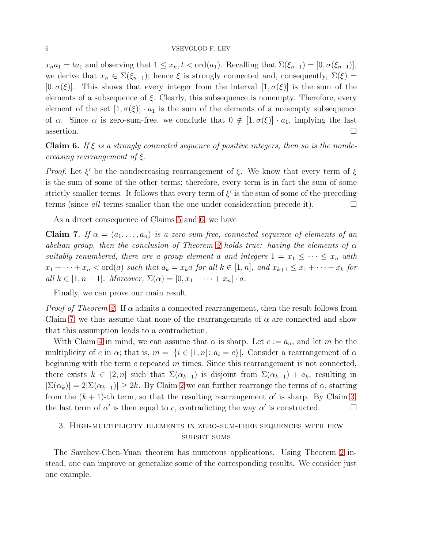$x_na_1 = ta_1$  and observing that  $1 \leq x_n, t < \text{ord}(a_1)$ . Recalling that  $\Sigma(\xi_{n-1}) = [0, \sigma(\xi_{n-1})],$ we derive that  $x_n \in \Sigma(\xi_{n-1})$ ; hence  $\xi$  is strongly connected and, consequently,  $\Sigma(\xi)$  =  $[0, \sigma(\xi)]$ . This shows that every integer from the interval  $[1, \sigma(\xi)]$  is the sum of the elements of a subsequence of  $\xi$ . Clearly, this subsequence is nonempty. Therefore, every element of the set  $[1, \sigma(\xi)] \cdot a_1$  is the sum of the elements of a nonempty subsequence of  $\alpha$ . Since  $\alpha$  is zero-sum-free, we conclude that  $0 \notin [1, \sigma(\xi)] \cdot a_1$ , implying the last assertion.  $\Box$ 

<span id="page-5-1"></span>Claim 6. *If* ξ *is a strongly connected sequence of positive integers, then so is the nondecreasing rearrangement of* ξ*.*

*Proof.* Let  $\xi'$  be the nondecreasing rearrangement of  $\xi$ . We know that every term of  $\xi$ is the sum of some of the other terms; therefore, every term is in fact the sum of some strictly smaller terms. It follows that every term of  $\xi'$  is the sum of some of the preceding terms (since *all* terms smaller than the one under consideration precede it).

As a direct consequence of Claims [5](#page-4-0) and [6,](#page-5-1) we have

<span id="page-5-2"></span>Claim 7. If  $\alpha = (a_1, \ldots, a_n)$  is a zero-sum-free, connected sequence of elements of an *abelian group, then the conclusion of Theorem [2](#page-1-0) holds true: having the elements of* α *suitably renumbered, there are a group element a and integers*  $1 = x_1 \leq \cdots \leq x_n$  *with*  $x_1 + \cdots + x_n < \text{ord}(a) \text{ such that } a_k = x_k a \text{ for all } k \in [1, n], \text{ and } x_{k+1} \leq x_1 + \cdots + x_k \text{ for } k \in [n]$ *all*  $k \in [1, n-1]$ *. Moreover,*  $\Sigma(\alpha) = [0, x_1 + \cdots + x_n] \cdot a$ *.* 

Finally, we can prove our main result.

*Proof of Theorem [2.](#page-1-0)* If α admits a connected rearrangement, then the result follows from Claim [7;](#page-5-2) we thus assume that none of the rearrangements of  $\alpha$  are connected and show that this assumption leads to a contradiction.

With Claim [4](#page-4-1) in mind, we can assume that  $\alpha$  is sharp. Let  $c := a_n$ , and let m be the multiplicity of c in  $\alpha$ ; that is,  $m = |\{i \in [1, n]: a_i = c\}|$ . Consider a rearrangement of  $\alpha$ beginning with the term  $c$  repeated  $m$  times. Since this rearrangement is not connected, there exists  $k \in [2, n]$  such that  $\Sigma(\alpha_{k-1})$  is disjoint from  $\Sigma(\alpha_{k-1}) + a_k$ , resulting in  $|\Sigma(\alpha_k)| = 2|\Sigma(\alpha_{k-1})| \geq 2k$  $|\Sigma(\alpha_k)| = 2|\Sigma(\alpha_{k-1})| \geq 2k$  $|\Sigma(\alpha_k)| = 2|\Sigma(\alpha_{k-1})| \geq 2k$ . By Claim 2 we can further rearrange the terms of  $\alpha$ , starting from the  $(k + 1)$ -th term, so that the resulting rearrangement  $\alpha'$  is sharp. By Claim [3,](#page-3-2) the last term of  $\alpha'$  is then equal to c, contradicting the way  $\alpha'$  is constructed.

# <span id="page-5-0"></span>3. High-multiplicity elements in zero-sum-free sequences with few SUBSET SUMS

The Savchev-Chen-Yuan theorem has numerous applications. Using Theorem [2](#page-1-0) instead, one can improve or generalize some of the corresponding results. We consider just one example.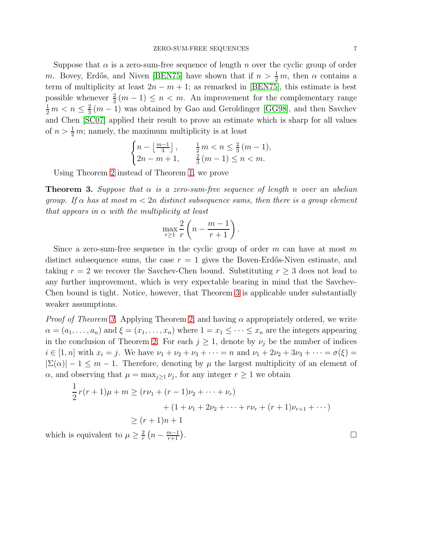Suppose that  $\alpha$  is a zero-sum-free sequence of length n over the cyclic group of order m. Bovey, Erdős, and Niven [\[BEN75\]](#page-7-7) have shown that if  $n > \frac{1}{2}m$ , then  $\alpha$  contains a term of multiplicity at least  $2n - m + 1$ ; as remarked in [\[BEN75\]](#page-7-7), this estimate is best possible whenever  $\frac{2}{3}(m-1) \leq n < m$ . An improvement for the complementary range  $\frac{1}{2} m < n \leq \frac{2}{3}$  $\frac{2}{3}(m-1)$  was obtained by Gao and Geroldinger [\[GG98\]](#page-7-8), and then Savchev and Chen [\[SC07\]](#page-7-4) applied their result to prove an estimate which is sharp for all values of  $n > \frac{1}{2}m$ ; namely, the maximum multiplicity is at least

$$
\begin{cases} n - \left\lfloor \frac{m-1}{3} \right\rfloor, & \frac{1}{2} m < n \le \frac{2}{3} (m-1), \\ 2n - m + 1, & \frac{2}{3} (m-1) \le n < m. \end{cases}
$$

Using Theorem [2](#page-1-0) instead of Theorem [1,](#page-1-1) we prove

<span id="page-6-0"></span>Theorem 3. *Suppose that* α *is a zero-sum-free sequence of length* n *over an abelian group.* If  $\alpha$  has at most  $m < 2n$  distinct subsequence sums, then there is a group element *that appears in* α *with the multiplicity at least*

$$
\max_{r\geq 1} \frac{2}{r} \left( n - \frac{m-1}{r+1} \right).
$$

Since a zero-sum-free sequence in the cyclic group of order  $m$  can have at most  $m$ distinct subsequence sums, the case  $r = 1$  gives the Boven-Erdős-Niven estimate, and taking  $r = 2$  we recover the Savchev-Chen bound. Substituting  $r \geq 3$  does not lead to any further improvement, which is very expectable bearing in mind that the Savchev-Chen bound is tight. Notice, however, that Theorem [3](#page-6-0) is applicable under substantially weaker assumptions.

*Proof of Theorem [3.](#page-6-0)* Applying Theorem [2,](#page-1-0) and having  $\alpha$  appropriately ordered, we write  $\alpha = (a_1, \ldots, a_n)$  and  $\xi = (x_1, \ldots, x_n)$  where  $1 = x_1 \leq \cdots \leq x_n$  are the integers appearing in the conclusion of Theorem [2.](#page-1-0) For each  $j \geq 1$ , denote by  $\nu_j$  be the number of indices  $i \in [1, n]$  with  $x_i = j$ . We have  $\nu_1 + \nu_2 + \nu_3 + \cdots = n$  and  $\nu_1 + 2\nu_2 + 3\nu_3 + \cdots = \sigma(\xi) =$  $|\Sigma(\alpha)| - 1 \leq m - 1$ . Therefore, denoting by  $\mu$  the largest multiplicity of an element of  $\alpha$ , and observing that  $\mu = \max_{j\geq 1} \nu_j$ , for any integer  $r \geq 1$  we obtain

$$
\frac{1}{2}r(r+1)\mu + m \ge (r\nu_1 + (r-1)\nu_2 + \dots + \nu_r) \n+ (1+\nu_1 + 2\nu_2 + \dots + r\nu_r + (r+1)\nu_{r+1} + \dots) \n\ge (r+1)n + 1
$$
\nis equivalent to  $\mu \ge \frac{2}{r}(n - \frac{m-1}{r+1}).$ 

which is equivalent to  $\mu \geq \frac{2}{r}$  $\frac{2}{r}\left(n-\frac{m-1}{r+1}\right)$